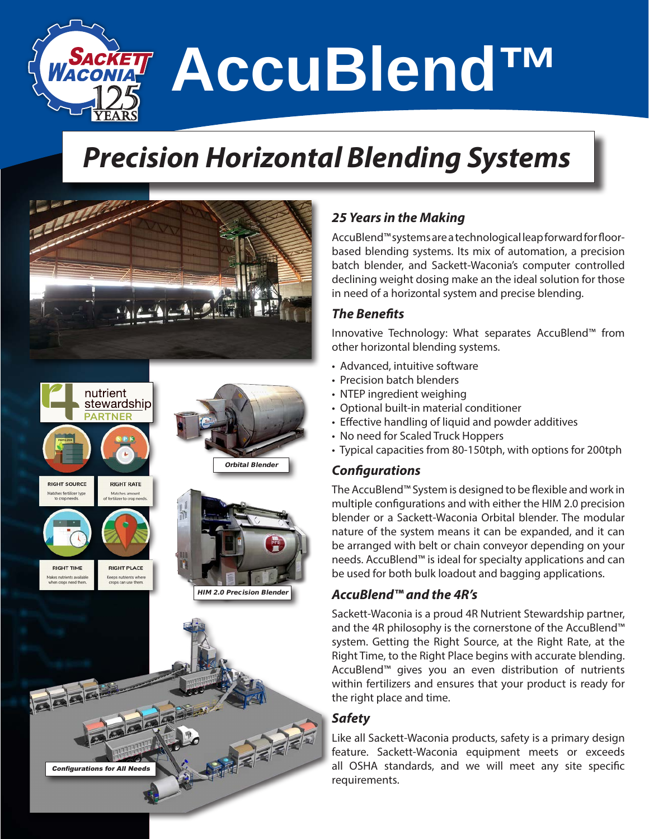**AccuBlend™** 

## *Precision Horizontal Blending Systems*



### *25 Years in the Making*

AccuBlend™ systems are a technological leap forward for floorbased blending systems. Its mix of automation, a precision batch blender, and Sackett-Waconia's computer controlled declining weight dosing make an the ideal solution for those in need of a horizontal system and precise blending.

### *The Benefits*

Innovative Technology: What separates AccuBlend™ from other horizontal blending systems.

- Advanced, intuitive software
- Precision batch blenders
- NTEP ingredient weighing
- Optional built-in material conditioner
- Effective handling of liquid and powder additives
- No need for Scaled Truck Hoppers
- Typical capacities from 80-150tph, with options for 200tph

### *Configurations*

The AccuBlend™ System is designed to be flexible and work in multiple configurations and with either the HIM 2.0 precision blender or a Sackett-Waconia Orbital blender. The modular nature of the system means it can be expanded, and it can be arranged with belt or chain conveyor depending on your needs. AccuBlend™ is ideal for specialty applications and can be used for both bulk loadout and bagging applications.

### *AccuBlend™ and the 4R's*

Sackett-Waconia is a proud 4R Nutrient Stewardship partner, and the 4R philosophy is the cornerstone of the AccuBlend™ system. Getting the Right Source, at the Right Rate, at the Right Time, to the Right Place begins with accurate blending. AccuBlend™ gives you an even distribution of nutrients within fertilizers and ensures that your product is ready for the right place and time.

### *Safety*

Like all Sackett-Waconia products, safety is a primary design feature. Sackett-Waconia equipment meets or exceeds all OSHA standards, and we will meet any site specific requirements.